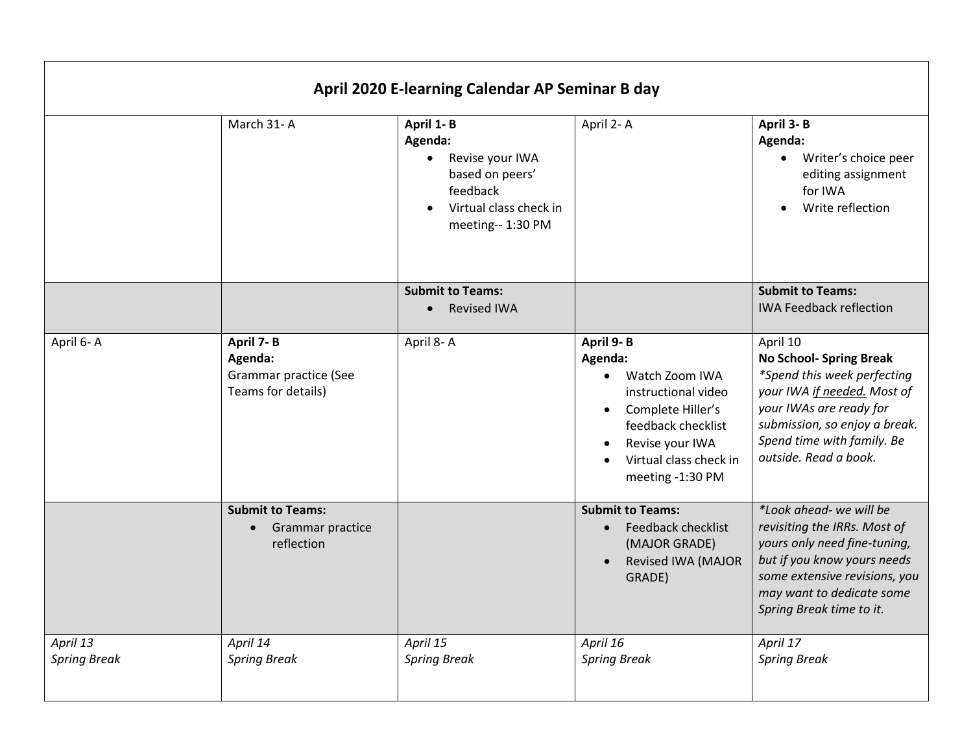| April 2020 E-learning Calendar AP Seminar B day |                                                                     |                                                                                                                       |                                                                                                                                                                           |                                                                                                                                                                                                                             |  |  |
|-------------------------------------------------|---------------------------------------------------------------------|-----------------------------------------------------------------------------------------------------------------------|---------------------------------------------------------------------------------------------------------------------------------------------------------------------------|-----------------------------------------------------------------------------------------------------------------------------------------------------------------------------------------------------------------------------|--|--|
|                                                 | March 31-A                                                          | April 1-B<br>Agenda:<br>Revise your IWA<br>based on peers'<br>feedback<br>Virtual class check in<br>meeting-- 1:30 PM | April 2-A                                                                                                                                                                 | April 3-B<br>Agenda:<br>Writer's choice peer<br>$\bullet$<br>editing assignment<br>for IWA<br>Write reflection<br>$\bullet$                                                                                                 |  |  |
|                                                 |                                                                     | <b>Submit to Teams:</b><br><b>Revised IWA</b>                                                                         |                                                                                                                                                                           | <b>Submit to Teams:</b><br><b>IWA Feedback reflection</b>                                                                                                                                                                   |  |  |
| April 6-A                                       | April 7-B<br>Agenda:<br>Grammar practice (See<br>Teams for details) | April 8-A                                                                                                             | April 9-B<br>Agenda:<br>Watch Zoom IWA<br>instructional video<br>Complete Hiller's<br>feedback checklist<br>Revise your IWA<br>Virtual class check in<br>meeting -1:30 PM | April 10<br><b>No School- Spring Break</b><br>*Spend this week perfecting<br>your IWA if needed. Most of<br>your IWAs are ready for<br>submission, so enjoy a break.<br>Spend time with family. Be<br>outside. Read a book. |  |  |
|                                                 | <b>Submit to Teams:</b><br>Grammar practice<br>reflection           |                                                                                                                       | <b>Submit to Teams:</b><br><b>Feedback checklist</b><br>(MAJOR GRADE)<br><b>Revised IWA (MAJOR</b><br>GRADE)                                                              | *Look ahead- we will be<br>revisiting the IRRs. Most of<br>yours only need fine-tuning,<br>but if you know yours needs<br>some extensive revisions, you<br>may want to dedicate some<br>Spring Break time to it.            |  |  |
| April 13<br><b>Spring Break</b>                 | April 14<br><b>Spring Break</b>                                     | April 15<br><b>Spring Break</b>                                                                                       | April 16<br><b>Spring Break</b>                                                                                                                                           | April 17<br><b>Spring Break</b>                                                                                                                                                                                             |  |  |